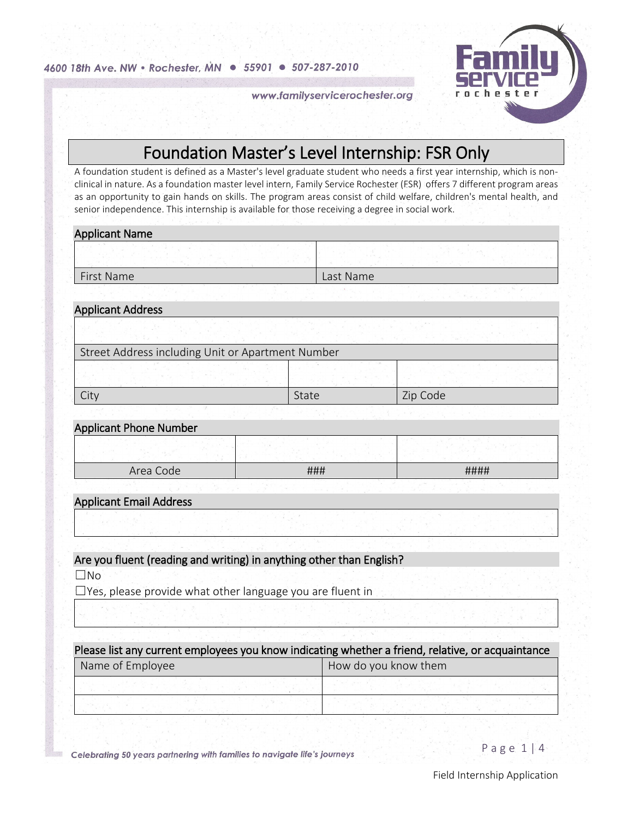4600 18th Ave. NW · Rochester, MN · 55901 · 507-287-2010



www.familyservicerochester.org

# **Foundation Master's Level Internship: FSR Only**<br>A foundation student is defined as a Master's level graduate student who needs a first year internship, which is non-

clinical in nature. As a foundation master level intern, Family Service Rochester (FSR) offers 7 different program areas as an opportunity to gain hands on skills. The program areas consist of child welfare, children's mental health, and senior independence. This internship is available for those receiving a degree in social work.

### Applicant Name

| First Name | Last Name |
|------------|-----------|

# Applicant Address Street Address including Unit or Apartment Number City  $\begin{array}{|c|c|c|c|c|}\hline \text{State} & \text{Zip Code} \end{array}$

### Applicant Phone Number

| Area Code | ### | #### |
|-----------|-----|------|

## Applicant Email Address

## Are you fluent (reading and writing) in anything other than English?

☐No

☐Yes, please provide what other language you are fluent in

| Please list any current employees you know indicating whether a friend, relative, or acquaintance |                      |
|---------------------------------------------------------------------------------------------------|----------------------|
| Name of Employee                                                                                  | How do you know them |
|                                                                                                   |                      |
|                                                                                                   |                      |

Celebrating 50 years partnering with families to navigate life's journeys

Page 1 | 4

Field Internship Application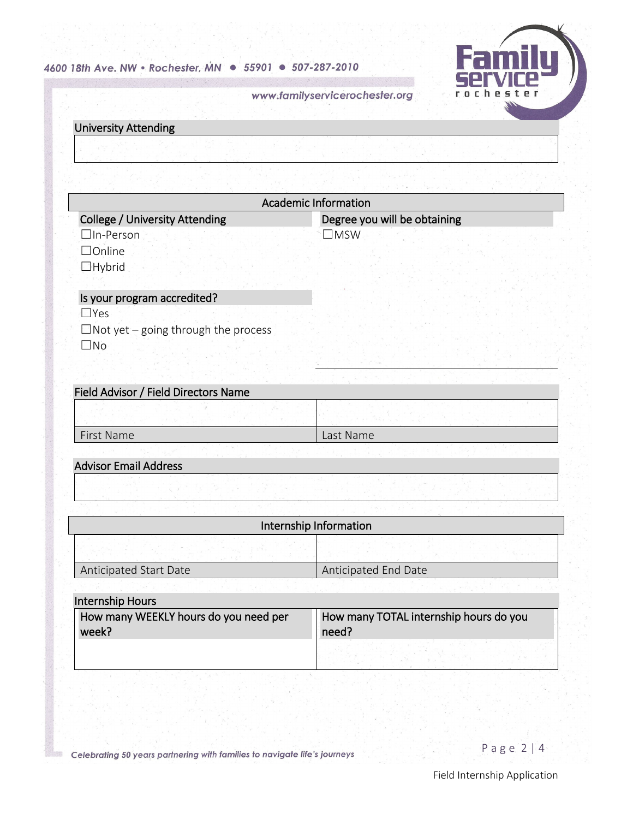## 4600 18th Ave. NW · Rochester, MN · 55901 · 507-287-2010



www.familyservicerochester.org

| <b>University Attending</b>                        |                              |
|----------------------------------------------------|------------------------------|
|                                                    |                              |
|                                                    |                              |
|                                                    | <b>Academic Information</b>  |
| <b>College / University Attending</b>              | Degree you will be obtaining |
| $\Box$ In-Person<br>$\Box$ Online<br>$\Box$ Hybrid | $\Box$ MSW                   |
| Is your program accredited?                        |                              |
| $\Box$ Yes                                         |                              |
| $\Box$ Not yet – going through the process         |                              |
| $\square$ No                                       |                              |
| Field Advisor / Field Directors Name               |                              |
|                                                    |                              |
| First Name                                         | Last Name                    |
|                                                    |                              |
| <b>Advisor Email Address</b>                       |                              |

| Internship Information |                      |  |
|------------------------|----------------------|--|
|                        |                      |  |
| Anticipated Start Date | Anticipated End Date |  |

| Internship Hours                      |                                        |
|---------------------------------------|----------------------------------------|
| How many WEEKLY hours do you need per | How many TOTAL internship hours do you |
| week?                                 | need?                                  |
|                                       |                                        |

Celebrating 50 years partnering with families to navigate life's journeys

瀫

Page 2 | 4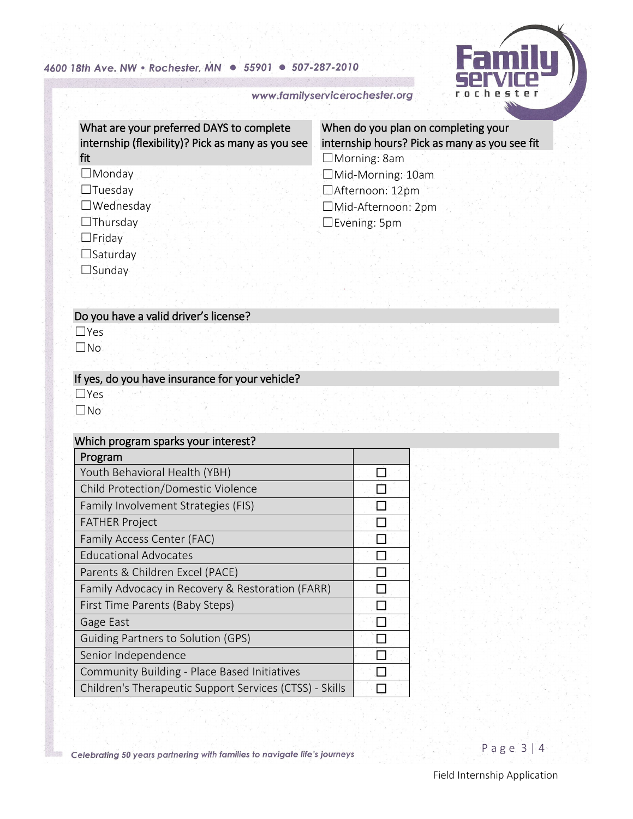## 4600 18th Ave. NW · Rochester, MN · 55901 · 507-287-2010



www.familyservicerochester.org

What are your preferred DAYS to complete internship (flexibility)? Pick as many as you see fit

# ☐Monday

☐Tuesday

☐Wednesday

☐Thursday

☐Friday

☐Saturday

☐Sunday

# When do you plan on completing your internship hours? Pick as many as you see fit

☐Morning: 8am ☐Mid-Morning: 10am ☐Afternoon: 12pm ☐Mid-Afternoon: 2pm ☐Evening: 5pm

### Do you have a valid driver's license?

☐Yes

☐No

## If yes, do you have insurance for your vehicle?

☐Yes

☐No

### Which program sparks your interest?

| Program                                                 |  |
|---------------------------------------------------------|--|
| Youth Behavioral Health (YBH)                           |  |
| Child Protection/Domestic Violence                      |  |
| Family Involvement Strategies (FIS)                     |  |
| <b>FATHER Project</b>                                   |  |
| Family Access Center (FAC)                              |  |
| <b>Educational Advocates</b>                            |  |
| Parents & Children Excel (PACE)                         |  |
| Family Advocacy in Recovery & Restoration (FARR)        |  |
| First Time Parents (Baby Steps)                         |  |
| Gage East                                               |  |
| <b>Guiding Partners to Solution (GPS)</b>               |  |
| Senior Independence                                     |  |
| Community Building - Place Based Initiatives            |  |
| Children's Therapeutic Support Services (CTSS) - Skills |  |

Celebrating 50 years partnering with families to navigate life's journeys

Page 3 | 4